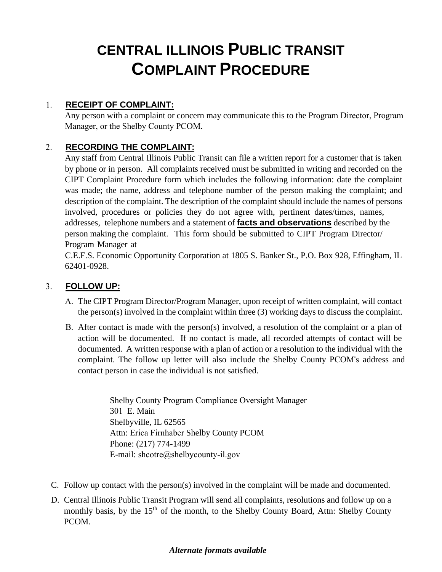# **CENTRAL ILLINOIS PUBLIC TRANSIT COMPLAINT PROCEDURE**

#### 1. **RECEIPT OF COMPLAINT:**

Any person with a complaint or concern may communicate this to the Program Director, Program Manager, or the Shelby County PCOM.

#### 2. **RECORDING THE COMPLAINT:**

Any staff from Central Illinois Public Transit can file a written report for a customer that is taken by phone or in person. All complaints received must be submitted in writing and recorded on the CIPT Complaint Procedure form which includes the following information: date the complaint was made; the name, address and telephone number of the person making the complaint; and description of the complaint. The description of the complaint should include the names of persons involved, procedures or policies they do not agree with, pertinent dates/times, names, addresses, telephone numbers and a statement of **facts and observations** described by the person making the complaint. This form should be submitted to CIPT Program Director/ Program Manager at

C.E.F.S. Economic Opportunity Corporation at 1805 S. Banker St., P.O. Box 928, Effingham, IL 62401-0928.

#### 3. **FOLLOW UP:**

- A. The CIPT Program Director/Program Manager, upon receipt of written complaint, will contact the person(s) involved in the complaint within three (3) working days to discuss the complaint.
- B. After contact is made with the person(s) involved, a resolution of the complaint or a plan of action will be documented. If no contact is made, all recorded attempts of contact will be documented. A written response with a plan of action or a resolution to the individual with the complaint. The follow up letter will also include the Shelby County PCOM's address and contact person in case the individual is not satisfied.

Shelby County Program Compliance Oversight Manager 301 E. Main Shelbyville, IL 62565 Attn: Erica Firnhaber Shelby County PCOM Phone: (217) 774-1499 E-mail: shcotre@shelbycounty-il.gov

- C. Follow up contact with the person(s) involved in the complaint will be made and documented.
- D. Central Illinois Public Transit Program will send all complaints, resolutions and follow up on a monthly basis, by the 15<sup>th</sup> of the month, to the Shelby County Board, Attn: Shelby County PCOM.

#### *Alternate formats available*